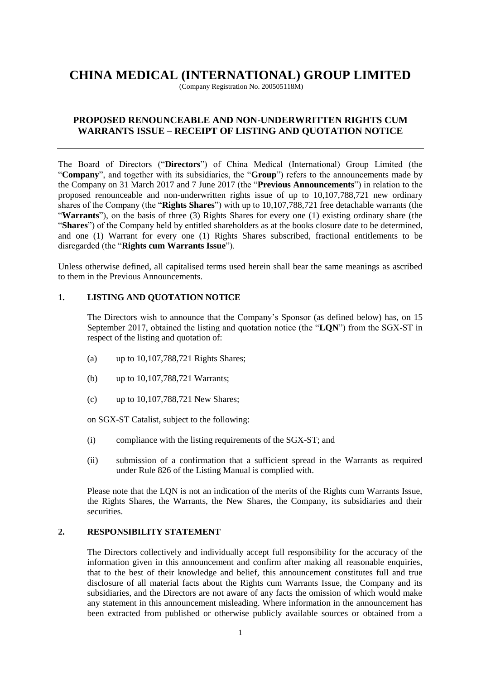# **CHINA MEDICAL (INTERNATIONAL) GROUP LIMITED**

(Company Registration No. 200505118M)

## **PROPOSED RENOUNCEABLE AND NON-UNDERWRITTEN RIGHTS CUM WARRANTS ISSUE – RECEIPT OF LISTING AND QUOTATION NOTICE**

The Board of Directors ("**Directors**") of China Medical (International) Group Limited (the "**Company**", and together with its subsidiaries, the "**Group**") refers to the announcements made by the Company on 31 March 2017 and 7 June 2017 (the "**Previous Announcements**") in relation to the proposed renounceable and non-underwritten rights issue of up to 10,107,788,721 new ordinary shares of the Company (the "**Rights Shares**") with up to 10,107,788,721 free detachable warrants (the "**Warrants**"), on the basis of three (3) Rights Shares for every one (1) existing ordinary share (the "**Shares**") of the Company held by entitled shareholders as at the books closure date to be determined, and one (1) Warrant for every one (1) Rights Shares subscribed, fractional entitlements to be disregarded (the "**Rights cum Warrants Issue**").

Unless otherwise defined, all capitalised terms used herein shall bear the same meanings as ascribed to them in the Previous Announcements.

## **1. LISTING AND QUOTATION NOTICE**

The Directors wish to announce that the Company's Sponsor (as defined below) has, on 15 September 2017, obtained the listing and quotation notice (the "**LQN**") from the SGX-ST in respect of the listing and quotation of:

- (a) up to 10,107,788,721 Rights Shares;
- (b) up to 10,107,788,721 Warrants;
- (c) up to 10,107,788,721 New Shares;

on SGX-ST Catalist, subject to the following:

- (i) compliance with the listing requirements of the SGX-ST; and
- (ii) submission of a confirmation that a sufficient spread in the Warrants as required under Rule 826 of the Listing Manual is complied with.

Please note that the LQN is not an indication of the merits of the Rights cum Warrants Issue, the Rights Shares, the Warrants, the New Shares, the Company, its subsidiaries and their securities.

#### **2. RESPONSIBILITY STATEMENT**

The Directors collectively and individually accept full responsibility for the accuracy of the information given in this announcement and confirm after making all reasonable enquiries, that to the best of their knowledge and belief, this announcement constitutes full and true disclosure of all material facts about the Rights cum Warrants Issue, the Company and its subsidiaries, and the Directors are not aware of any facts the omission of which would make any statement in this announcement misleading. Where information in the announcement has been extracted from published or otherwise publicly available sources or obtained from a